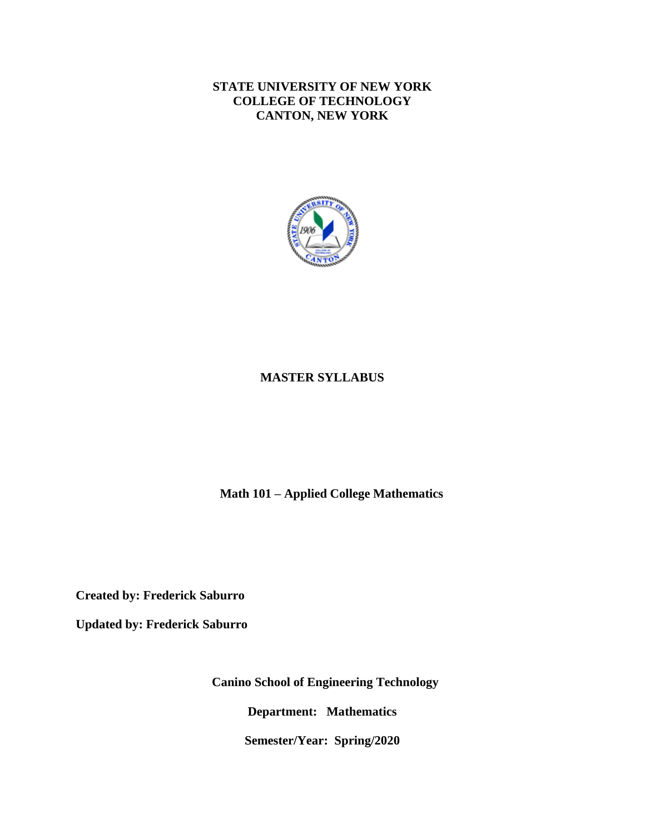**STATE UNIVERSITY OF NEW YORK COLLEGE OF TECHNOLOGY CANTON, NEW YORK**



# **MASTER SYLLABUS**

 **Math 101 – Applied College Mathematics**

**Created by: Frederick Saburro**

**Updated by: Frederick Saburro**

**Canino School of Engineering Technology**

**Department: Mathematics**

**Semester/Year: Spring/2020**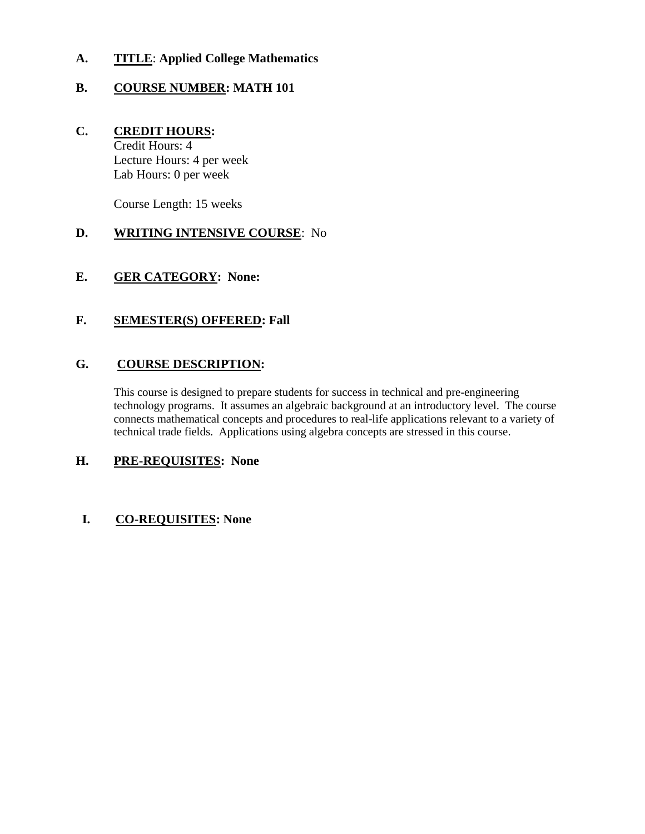# **A. TITLE**: **Applied College Mathematics**

# **B. COURSE NUMBER: MATH 101**

#### **C. CREDIT HOURS:** Credit Hours: 4

Lecture Hours: 4 per week Lab Hours: 0 per week

Course Length: 15 weeks

# **D. WRITING INTENSIVE COURSE**: No

# **E. GER CATEGORY: None:**

# **F. SEMESTER(S) OFFERED: Fall**

# **G. COURSE DESCRIPTION:**

This course is designed to prepare students for success in technical and pre-engineering technology programs. It assumes an algebraic background at an introductory level. The course connects mathematical concepts and procedures to real-life applications relevant to a variety of technical trade fields. Applications using algebra concepts are stressed in this course.

#### **H. PRE-REQUISITES: None**

# **I. CO-REQUISITES: None**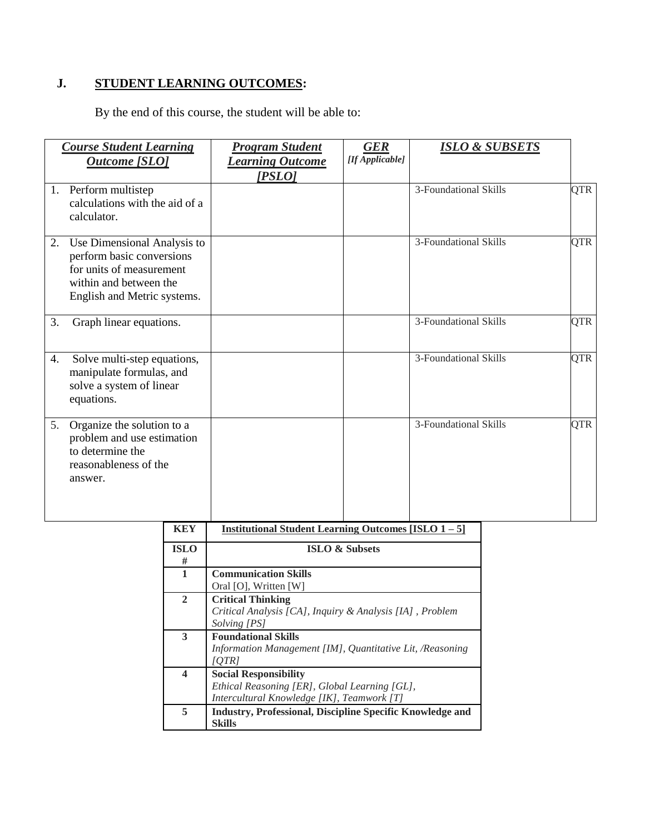# **J. STUDENT LEARNING OUTCOMES:**

By the end of this course, the student will be able to:

|    | <b>Course Student Learning</b><br><b>Outcome [SLO]</b>                                                                                        | <b>Program Student</b><br><b>Learning Outcome</b><br>[PSLO] | <b>GER</b><br>[If Applicable] | <b>ISLO &amp; SUBSETS</b> |            |
|----|-----------------------------------------------------------------------------------------------------------------------------------------------|-------------------------------------------------------------|-------------------------------|---------------------------|------------|
|    | 1. Perform multistep<br>calculations with the aid of a<br>calculator.                                                                         |                                                             |                               | 3-Foundational Skills     | <b>QTR</b> |
| 2. | Use Dimensional Analysis to<br>perform basic conversions<br>for units of measurement<br>within and between the<br>English and Metric systems. |                                                             |                               | 3-Foundational Skills     | QTR        |
| 3. | Graph linear equations.                                                                                                                       |                                                             |                               | 3-Foundational Skills     | <b>QTR</b> |
| 4. | Solve multi-step equations,<br>manipulate formulas, and<br>solve a system of linear<br>equations.                                             |                                                             |                               | 3-Foundational Skills     | <b>QTR</b> |
| 5. | Organize the solution to a<br>problem and use estimation<br>to determine the<br>reasonableness of the<br>answer.                              |                                                             |                               | 3-Foundational Skills     | <b>QTR</b> |
|    | <b>KEV</b>                                                                                                                                    | <b>Institutional Student Learning Outcomes HSLO 1</b>       |                               | 51.                       |            |

| KEY              | <b>Institutional Student Learning Outcomes [ISLO <math>1-5</math>]</b> |  |  |  |  |  |
|------------------|------------------------------------------------------------------------|--|--|--|--|--|
| <b>ISLO</b>      | <b>ISLO &amp; Subsets</b>                                              |  |  |  |  |  |
| #                |                                                                        |  |  |  |  |  |
| 1                | <b>Communication Skills</b>                                            |  |  |  |  |  |
|                  | Oral [O], Written [W]                                                  |  |  |  |  |  |
| $\mathbf{2}$     | <b>Critical Thinking</b>                                               |  |  |  |  |  |
|                  | Critical Analysis [CA], Inquiry & Analysis [IA], Problem               |  |  |  |  |  |
|                  | Solving [PS]                                                           |  |  |  |  |  |
| 3                | <b>Foundational Skills</b>                                             |  |  |  |  |  |
|                  | Information Management [IM], Quantitative Lit, /Reasoning              |  |  |  |  |  |
|                  | [OTR]                                                                  |  |  |  |  |  |
| $\boldsymbol{4}$ | <b>Social Responsibility</b>                                           |  |  |  |  |  |
|                  | Ethical Reasoning [ER], Global Learning [GL],                          |  |  |  |  |  |
|                  | Intercultural Knowledge [IK], Teamwork [T]                             |  |  |  |  |  |
| 5                | <b>Industry, Professional, Discipline Specific Knowledge and</b>       |  |  |  |  |  |
|                  | <b>Skills</b>                                                          |  |  |  |  |  |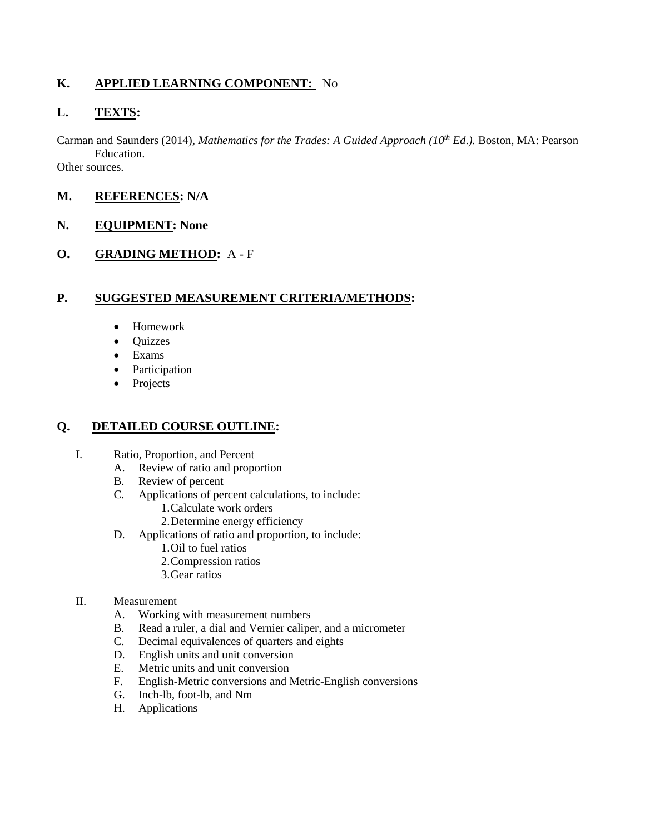# **K. APPLIED LEARNING COMPONENT:** No

# **L. TEXTS:**

Carman and Saunders (2014), *Mathematics for the Trades: A Guided Approach (10th Ed*.*).* Boston, MA: Pearson Education. Other sources.

# **M. REFERENCES: N/A**

#### **N. EQUIPMENT: None**

**O. GRADING METHOD:** A - F

# **P. SUGGESTED MEASUREMENT CRITERIA/METHODS:**

- Homework
- Quizzes
- Exams
- Participation
- Projects

#### **Q. DETAILED COURSE OUTLINE:**

- I. Ratio, Proportion, and Percent
	- A. Review of ratio and proportion
	- B. Review of percent
	- C. Applications of percent calculations, to include:
		- 1.Calculate work orders
		- 2.Determine energy efficiency
	- D. Applications of ratio and proportion, to include:
		- 1.Oil to fuel ratios
		- 2.Compression ratios
		- 3.Gear ratios

#### II. Measurement

- A. Working with measurement numbers
- B. Read a ruler, a dial and Vernier caliper, and a micrometer
- C. Decimal equivalences of quarters and eights
- D. English units and unit conversion
- E. Metric units and unit conversion
- F. English-Metric conversions and Metric-English conversions
- G. Inch-lb, foot-lb, and Nm
- H. Applications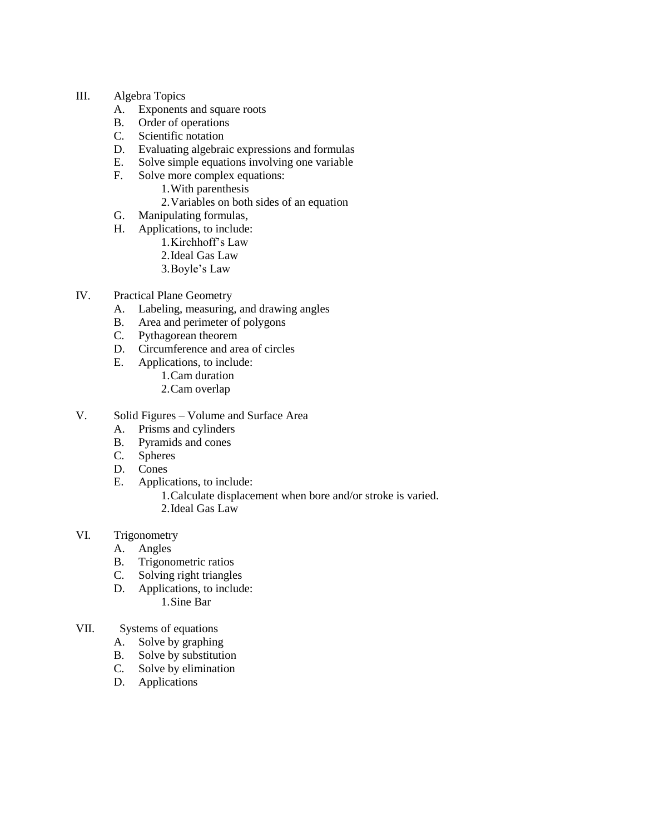#### III. Algebra Topics

- A. Exponents and square roots
- B. Order of operations
- C. Scientific notation
- D. Evaluating algebraic expressions and formulas
- E. Solve simple equations involving one variable
- F. Solve more complex equations:
	- 1.With parenthesis
	- 2.Variables on both sides of an equation
- G. Manipulating formulas,
- H. Applications, to include:
	- 1.Kirchhoff's Law
	- 2.Ideal Gas Law
	- 3.Boyle's Law
- IV. Practical Plane Geometry
	- A. Labeling, measuring, and drawing angles
	- B. Area and perimeter of polygons
	- C. Pythagorean theorem
	- D. Circumference and area of circles
	- E. Applications, to include:
		- 1.Cam duration
		- 2.Cam overlap
- V. Solid Figures Volume and Surface Area
	- A. Prisms and cylinders
	- B. Pyramids and cones
	- C. Spheres
	- D. Cones
	- E. Applications, to include:

1.Calculate displacement when bore and/or stroke is varied. 2.Ideal Gas Law

- VI. Trigonometry
	- A. Angles
	- B. Trigonometric ratios
	- C. Solving right triangles
	- D. Applications, to include: 1.Sine Bar
- VII. Systems of equations
	- A. Solve by graphing
	- B. Solve by substitution
	- C. Solve by elimination
	- D. Applications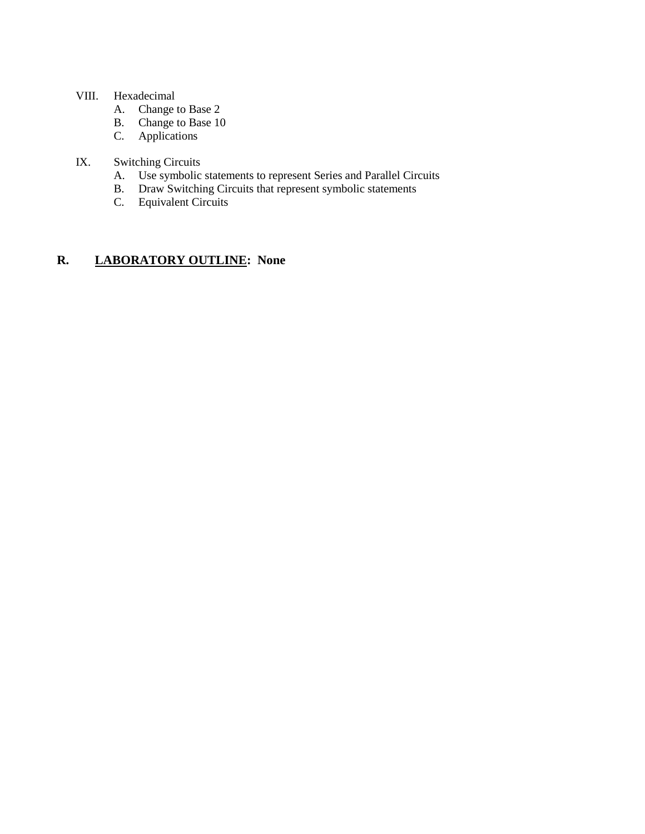#### VIII. Hexadecimal

- A. Change to Base 2
- B. Change to Base 10
- C. Applications

# IX. Switching Circuits

- A. Use symbolic statements to represent Series and Parallel Circuits<br>B. Draw Switching Circuits that represent symbolic statements
- B. Draw Switching Circuits that represent symbolic statements<br>C. Equivalent Circuits
- Equivalent Circuits

# **R. LABORATORY OUTLINE: None**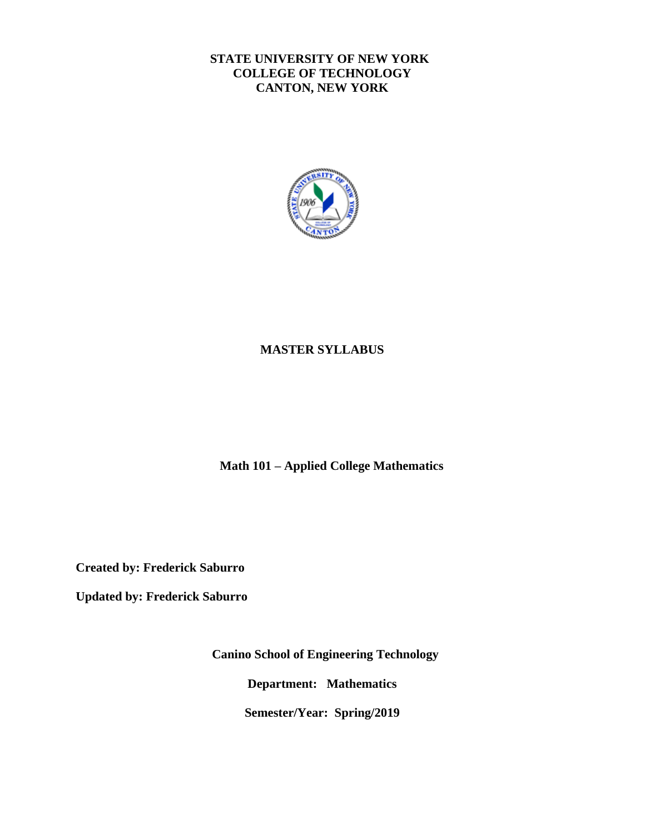# **STATE UNIVERSITY OF NEW YORK COLLEGE OF TECHNOLOGY CANTON, NEW YORK**



# **MASTER SYLLABUS**

 **Math 101 – Applied College Mathematics**

**Created by: Frederick Saburro**

**Updated by: Frederick Saburro**

**Canino School of Engineering Technology**

**Department: Mathematics**

**Semester/Year: Spring/2019**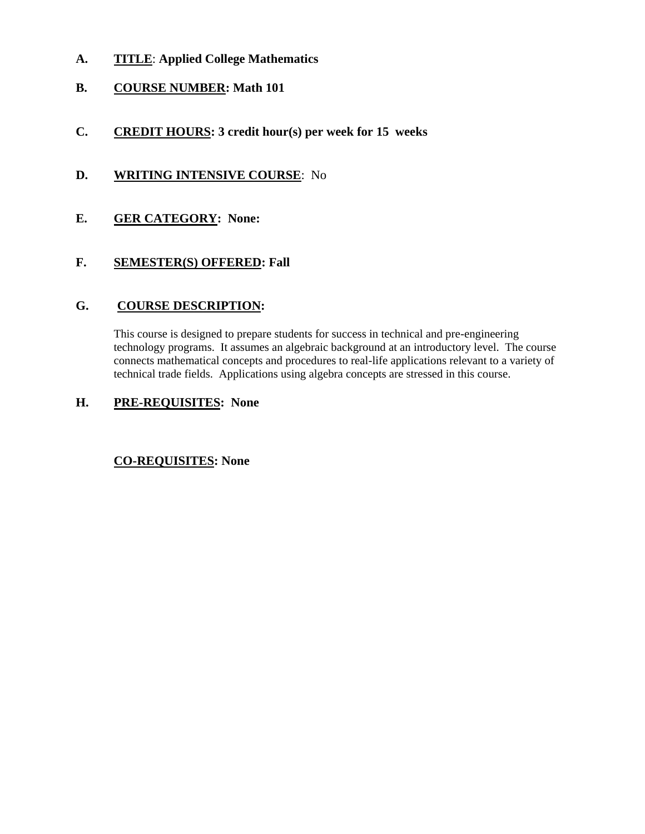- **A. TITLE**: **Applied College Mathematics**
- **B. COURSE NUMBER: Math 101**
- **C. CREDIT HOURS: 3 credit hour(s) per week for 15 weeks**
- **D. WRITING INTENSIVE COURSE**: No
- **E. GER CATEGORY: None:**

# **F. SEMESTER(S) OFFERED: Fall**

#### **G. COURSE DESCRIPTION:**

This course is designed to prepare students for success in technical and pre-engineering technology programs. It assumes an algebraic background at an introductory level. The course connects mathematical concepts and procedures to real-life applications relevant to a variety of technical trade fields. Applications using algebra concepts are stressed in this course.

# **H. PRE-REQUISITES: None**

#### **CO-REQUISITES: None**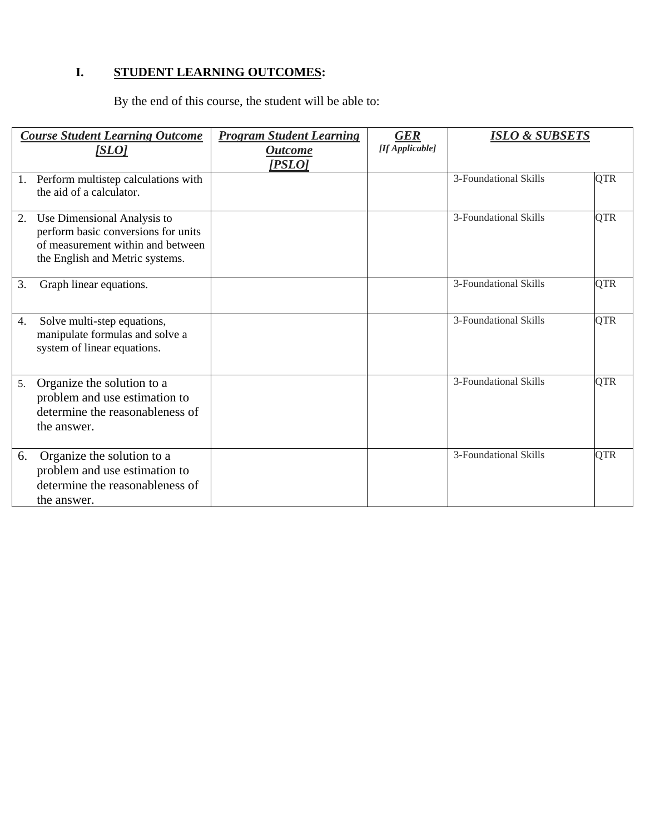# **I. STUDENT LEARNING OUTCOMES:**

By the end of this course, the student will be able to:

| <b>Course Student Learning Outcome</b><br>[SLO]                                                                                                  | <b>Program Student Learning</b><br><b>Outcome</b> | <b>GER</b><br>[If Applicable] | <b>ISLO &amp; SUBSETS</b> |            |
|--------------------------------------------------------------------------------------------------------------------------------------------------|---------------------------------------------------|-------------------------------|---------------------------|------------|
|                                                                                                                                                  | [PSLO]                                            |                               |                           |            |
| Perform multistep calculations with<br>1.<br>the aid of a calculator.                                                                            |                                                   |                               | 3-Foundational Skills     | <b>QTR</b> |
| Use Dimensional Analysis to<br>2.<br>perform basic conversions for units<br>of measurement within and between<br>the English and Metric systems. |                                                   |                               | 3-Foundational Skills     | <b>QTR</b> |
| 3.<br>Graph linear equations.                                                                                                                    |                                                   |                               | 3-Foundational Skills     | <b>QTR</b> |
| 4.<br>Solve multi-step equations,<br>manipulate formulas and solve a<br>system of linear equations.                                              |                                                   |                               | 3-Foundational Skills     | <b>QTR</b> |
| Organize the solution to a<br>5.<br>problem and use estimation to<br>determine the reasonableness of<br>the answer.                              |                                                   |                               | 3-Foundational Skills     | <b>QTR</b> |
| 6.<br>Organize the solution to a<br>problem and use estimation to<br>determine the reasonableness of<br>the answer.                              |                                                   |                               | 3-Foundational Skills     | <b>QTR</b> |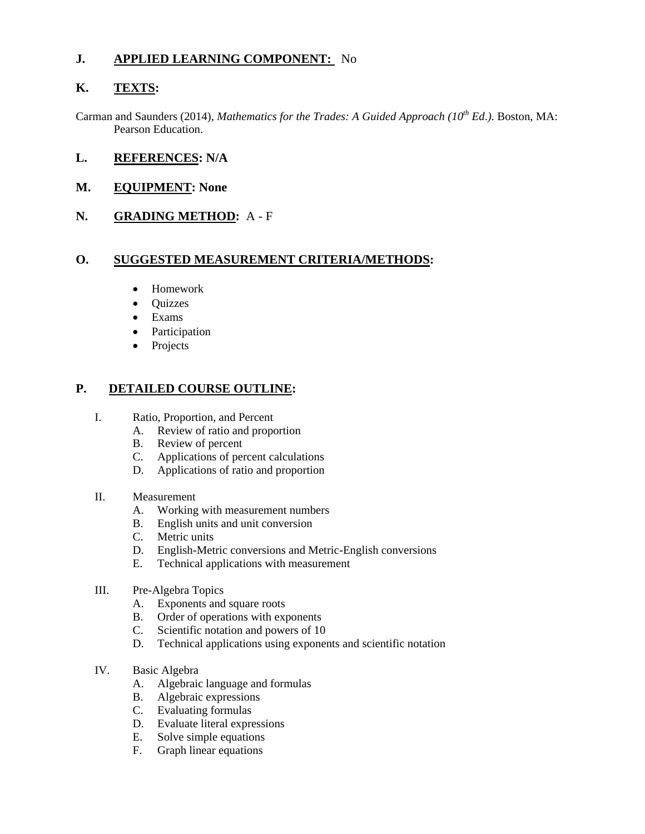# **J. APPLIED LEARNING COMPONENT:** No

# **K. TEXTS:**

Carman and Saunders (2014), *Mathematics for the Trades: A Guided Approach (10th Ed*.*).* Boston, MA: Pearson Education.

### **L. REFERENCES: N/A**

### **M. EQUIPMENT: None**

**N. GRADING METHOD:** A - F

# **O. SUGGESTED MEASUREMENT CRITERIA/METHODS:**

- Homework
- Ouizzes
- Exams
- Participation
- Projects

# **P. DETAILED COURSE OUTLINE:**

- I. Ratio, Proportion, and Percent
	- A. Review of ratio and proportion
	- B. Review of percent
	- C. Applications of percent calculations
	- D. Applications of ratio and proportion
- II. Measurement
	- A. Working with measurement numbers
	- B. English units and unit conversion
	- C. Metric units
	- D. English-Metric conversions and Metric-English conversions
	- E. Technical applications with measurement
- III. Pre-Algebra Topics
	- A. Exponents and square roots
	- B. Order of operations with exponents
	- C. Scientific notation and powers of 10
	- D. Technical applications using exponents and scientific notation
- IV. Basic Algebra
	- A. Algebraic language and formulas
	- B. Algebraic expressions
	- C. Evaluating formulas
	- D. Evaluate literal expressions
	- E. Solve simple equations
	- F. Graph linear equations